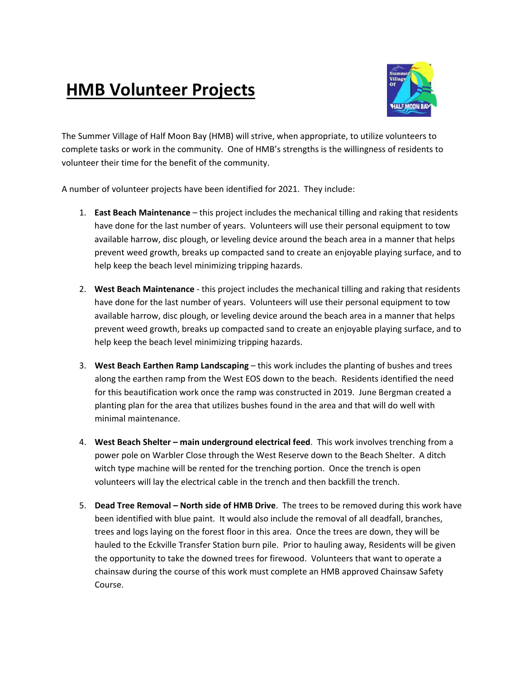## **HMB Volunteer Projects**



The Summer Village of Half Moon Bay (HMB) will strive, when appropriate, to utilize volunteers to complete tasks or work in the community. One of HMB's strengths is the willingness of residents to volunteer their time for the benefit of the community.

A number of volunteer projects have been identified for 2021. They include:

- 1. **East Beach Maintenance** this project includes the mechanical tilling and raking that residents have done for the last number of years. Volunteers will use their personal equipment to tow available harrow, disc plough, or leveling device around the beach area in a manner that helps prevent weed growth, breaks up compacted sand to create an enjoyable playing surface, and to help keep the beach level minimizing tripping hazards.
- 2. **West Beach Maintenance** this project includes the mechanical tilling and raking that residents have done for the last number of years. Volunteers will use their personal equipment to tow available harrow, disc plough, or leveling device around the beach area in a manner that helps prevent weed growth, breaks up compacted sand to create an enjoyable playing surface, and to help keep the beach level minimizing tripping hazards.
- 3. **West Beach Earthen Ramp Landscaping** this work includes the planting of bushes and trees along the earthen ramp from the West EOS down to the beach. Residents identified the need for this beautification work once the ramp was constructed in 2019. June Bergman created a planting plan for the area that utilizes bushes found in the area and that will do well with minimal maintenance.
- 4. **West Beach Shelter – main underground electrical feed**. This work involves trenching from a power pole on Warbler Close through the West Reserve down to the Beach Shelter. A ditch witch type machine will be rented for the trenching portion. Once the trench is open volunteers will lay the electrical cable in the trench and then backfill the trench.
- 5. **Dead Tree Removal – North side of HMB Drive**. The trees to be removed during this work have been identified with blue paint. It would also include the removal of all deadfall, branches, trees and logs laying on the forest floor in this area. Once the trees are down, they will be hauled to the Eckville Transfer Station burn pile. Prior to hauling away, Residents will be given the opportunity to take the downed trees for firewood. Volunteers that want to operate a chainsaw during the course of this work must complete an HMB approved Chainsaw Safety Course.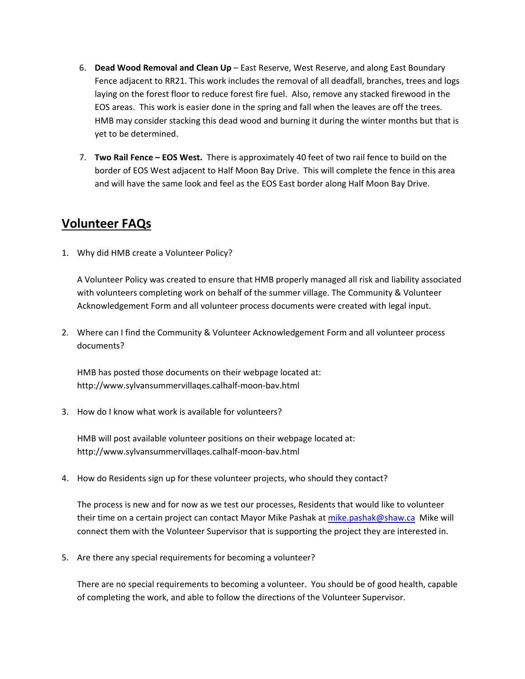- 6. **Dead Wood Removal and Clean Up** East Reserve, West Reserve, and along East Boundary Fence adjacent to RR21. This work includes the removal of all deadfall, branches, trees and logs laying on the forest floor to reduce forest fire fuel. Also, remove any stacked firewood in the EOS areas. This work is easier done in the spring and fall when the leaves are off the trees. HMB may consider stacking this dead wood and burning it during the winter months but that is yet to be determined.
- 7. **Two Rail Fence – EOS West.** There is approximately 40 feet of two rail fence to build on the border of EOS West adjacent to Half Moon Bay Drive. This will complete the fence in this area and will have the same look and feel as the EOS East border along Half Moon Bay Drive.

## **Volunteer FAQs**

1. Why did HMB create a Volunteer Policy?

A Volunteer Policy was created to ensure that HMB properly managed all risk and liability associated with volunteers completing work on behalf of the summer village. The Community & Volunteer Acknowledgement Form and all volunteer process documents were created with legal input.

2. Where can I find the Community & Volunteer Acknowledgement Form and all volunteer process documents?

HMB has posted those documents on their webpage located at: http://www.sylvansummervillaqes.calhalf-moon-bav.html

3. How do I know what work is available for volunteers?

HMB will post available volunteer positions on their webpage located at: http://www.sylvansummervillaqes.calhalf-moon-bav.html

4. How do Residents sign up for these volunteer projects, who should they contact?

The process is new and for now as we test our processes, Residents that would like to volunteer their time on a certain project can contact Mayor Mike Pashak a[t mike.pashak@shaw.ca](mailto:mike.pashak@shaw.ca) Mike will connect them with the Volunteer Supervisor that is supporting the project they are interested in.

5. Are there any special requirements for becoming a volunteer?

There are no special requirements to becoming a volunteer. You should be of good health, capable of completing the work, and able to follow the directions of the Volunteer Supervisor.